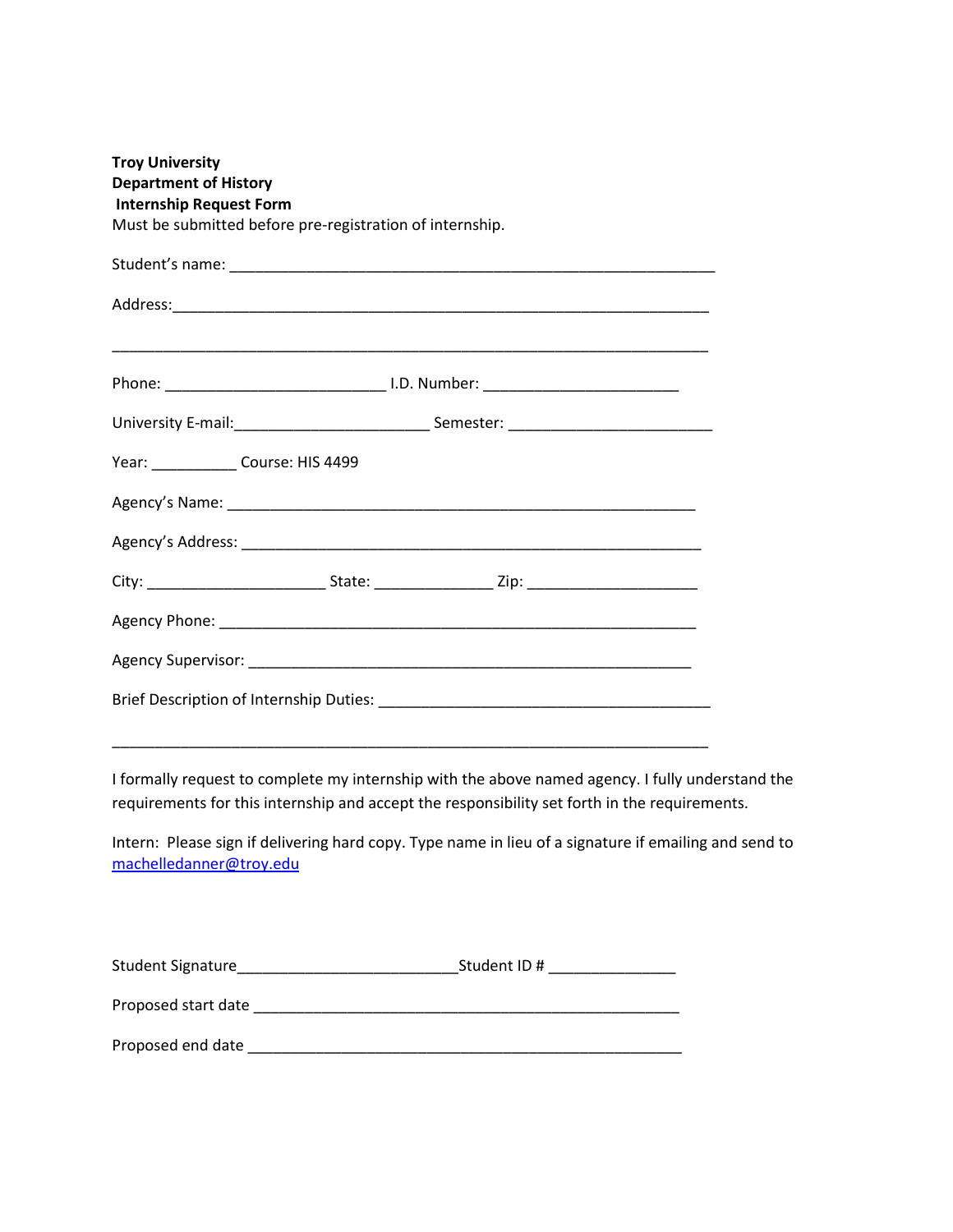| <b>Troy University</b><br><b>Department of History</b><br><b>Internship Request Form</b> | Must be submitted before pre-registration of internship.                                                                                                                                          |  |
|------------------------------------------------------------------------------------------|---------------------------------------------------------------------------------------------------------------------------------------------------------------------------------------------------|--|
|                                                                                          |                                                                                                                                                                                                   |  |
|                                                                                          |                                                                                                                                                                                                   |  |
|                                                                                          |                                                                                                                                                                                                   |  |
|                                                                                          |                                                                                                                                                                                                   |  |
|                                                                                          | Year: Course: HIS 4499                                                                                                                                                                            |  |
|                                                                                          |                                                                                                                                                                                                   |  |
|                                                                                          |                                                                                                                                                                                                   |  |
|                                                                                          |                                                                                                                                                                                                   |  |
|                                                                                          |                                                                                                                                                                                                   |  |
|                                                                                          |                                                                                                                                                                                                   |  |
|                                                                                          |                                                                                                                                                                                                   |  |
|                                                                                          | <u> 1989 - Johann Stoff, amerikansk politiker (d. 1989)</u>                                                                                                                                       |  |
|                                                                                          | I formally request to complete my internship with the above named agency. I fully understand the<br>requirements for this internship and accept the responsibility set forth in the requirements. |  |
| machelledanner@troy.edu                                                                  | Intern: Please sign if delivering hard copy. Type name in lieu of a signature if emailing and send to                                                                                             |  |
|                                                                                          |                                                                                                                                                                                                   |  |
|                                                                                          |                                                                                                                                                                                                   |  |

Proposed end date \_\_\_\_\_\_\_\_\_\_\_\_\_\_\_\_\_\_\_\_\_\_\_\_\_\_\_\_\_\_\_\_\_\_\_\_\_\_\_\_\_\_\_\_\_\_\_\_\_\_\_